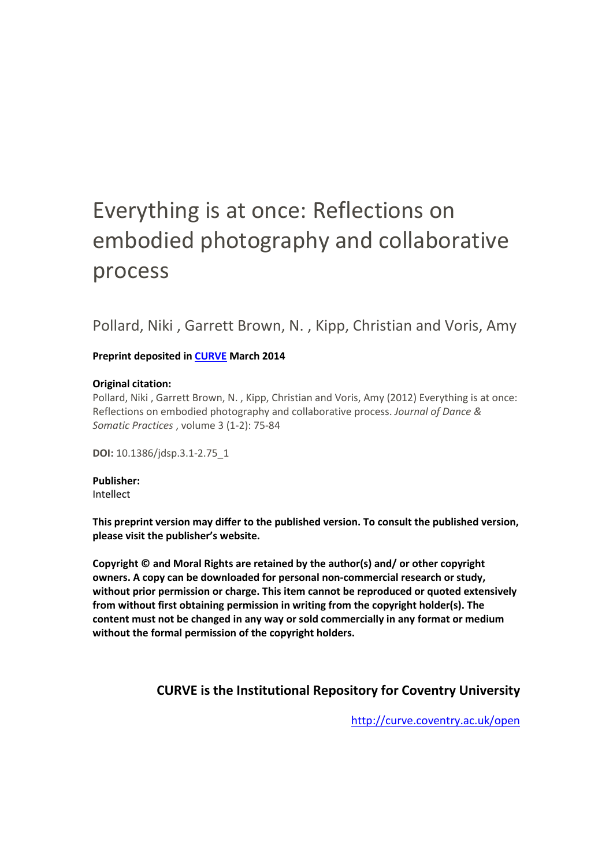# Everything is at once: Reflections on embodied photography and collaborative process

Pollard, Niki , Garrett Brown, N. , Kipp, Christian and Voris, Amy

#### **Preprint deposited in [CURVE](http://curve.coventry.ac.uk/open) March 2014**

#### **Original citation:**

Pollard, Niki , Garrett Brown, N. , Kipp, Christian and Voris, Amy (2012) Everything is at once: Reflections on embodied photography and collaborative process. *Journal of Dance & Somatic Practices* , volume 3 (1-2): 75-84

**DOI:** 10.1386/jdsp.3.1-2.75\_1

**Publisher:** Intellect

**This preprint version may differ to the published version. To consult the published version, please visit the publisher's website.**

**Copyright © and Moral Rights are retained by the author(s) and/ or other copyright owners. A copy can be downloaded for personal non-commercial research or study, without prior permission or charge. This item cannot be reproduced or quoted extensively from without first obtaining permission in writing from the copyright holder(s). The content must not be changed in any way or sold commercially in any format or medium without the formal permission of the copyright holders.** 

#### **CURVE is the Institutional Repository for Coventry University**

<http://curve.coventry.ac.uk/open>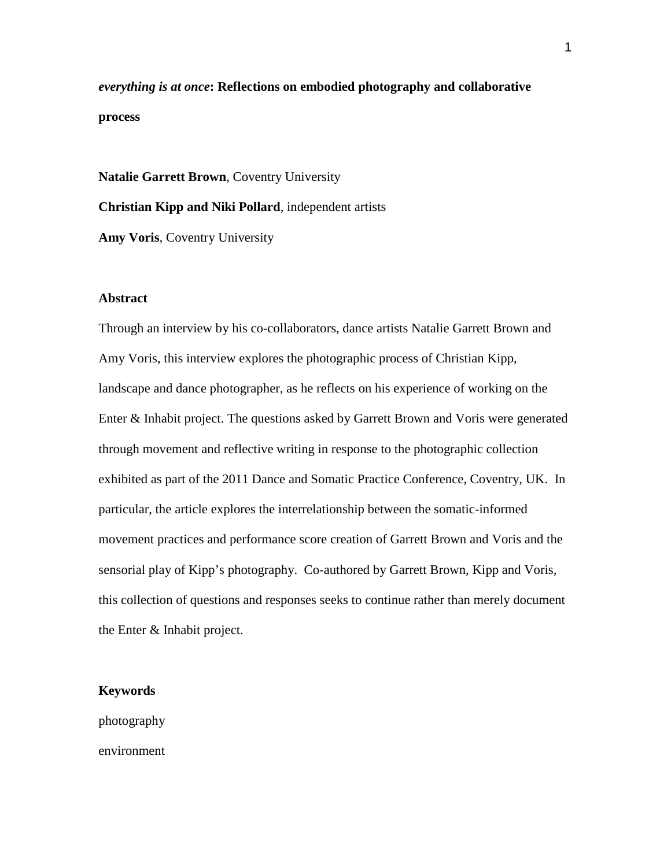*everything is at once***: Reflections on embodied photography and collaborative process**

**Natalie Garrett Brown**, Coventry University **Christian Kipp and Niki Pollard**, independent artists **Amy Voris**, Coventry University

#### **Abstract**

Through an interview by his co-collaborators, dance artists Natalie Garrett Brown and Amy Voris, this interview explores the photographic process of Christian Kipp, landscape and dance photographer, as he reflects on his experience of working on the Enter & Inhabit project. The questions asked by Garrett Brown and Voris were generated through movement and reflective writing in response to the photographic collection exhibited as part of the 2011 Dance and Somatic Practice Conference, Coventry, UK. In particular, the article explores the interrelationship between the somatic-informed movement practices and performance score creation of Garrett Brown and Voris and the sensorial play of Kipp's photography. Co-authored by Garrett Brown, Kipp and Voris, this collection of questions and responses seeks to continue rather than merely document the Enter & Inhabit project.

#### **Keywords**

photography environment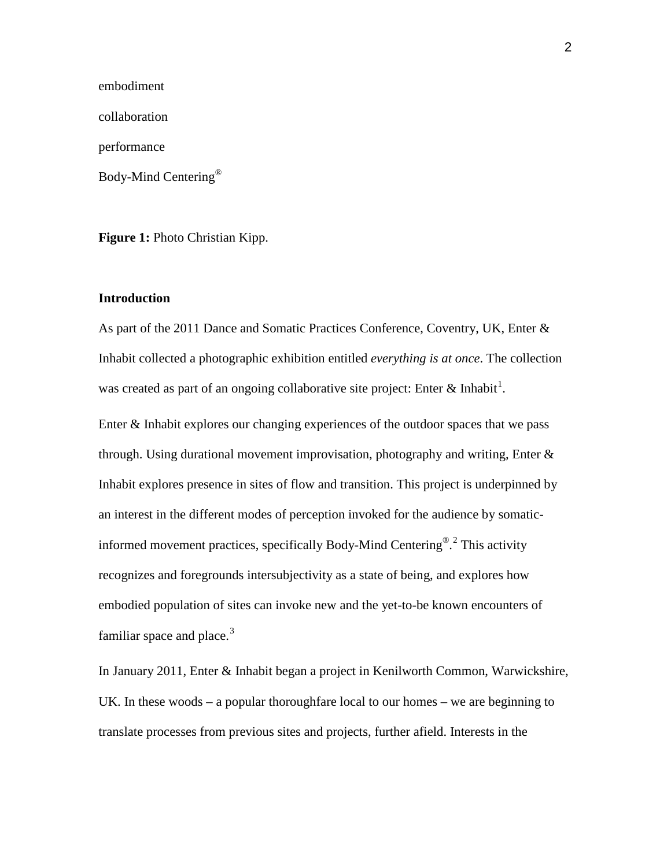embodiment collaboration performance Body-Mind Centering®

**Figure 1:** Photo Christian Kipp.

#### **Introduction**

As part of the 2011 Dance and Somatic Practices Conference, Coventry, UK, Enter & Inhabit collected a photographic exhibition entitled *everything is at once*. The collection was created as part of an ongoing collaborative site project: Enter & Inhabit<sup>[1](#page-12-0)</sup>.

Enter & Inhabit explores our changing experiences of the outdoor spaces that we pass through. Using durational movement improvisation, photography and writing, Enter  $\&$ Inhabit explores presence in sites of flow and transition. This project is underpinned by an interest in the different modes of perception invoked for the audience by somaticinformed movement practices, specifically Body-Mind Centering®. [2](#page-12-1) This activity recognizes and foregrounds intersubjectivity as a state of being, and explores how embodied population of sites can invoke new and the yet-to-be known encounters of familiar space and place. $3$ 

In January 2011, Enter & Inhabit began a project in Kenilworth Common, Warwickshire, UK. In these woods – a popular thoroughfare local to our homes – we are beginning to translate processes from previous sites and projects, further afield. Interests in the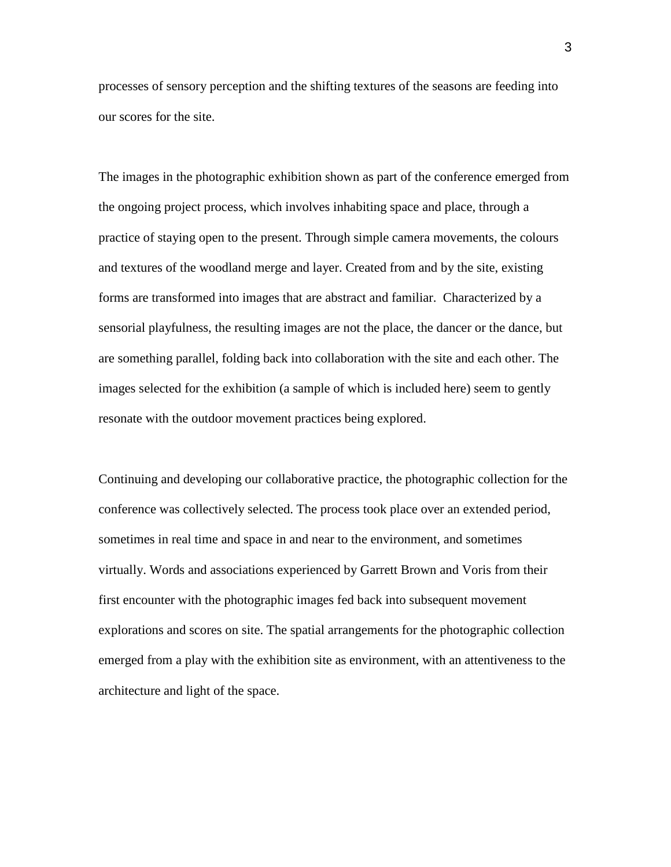processes of sensory perception and the shifting textures of the seasons are feeding into our scores for the site.

The images in the photographic exhibition shown as part of the conference emerged from the ongoing project process, which involves inhabiting space and place, through a practice of staying open to the present. Through simple camera movements, the colours and textures of the woodland merge and layer. Created from and by the site, existing forms are transformed into images that are abstract and familiar. Characterized by a sensorial playfulness, the resulting images are not the place, the dancer or the dance, but are something parallel, folding back into collaboration with the site and each other. The images selected for the exhibition (a sample of which is included here) seem to gently resonate with the outdoor movement practices being explored.

Continuing and developing our collaborative practice, the photographic collection for the conference was collectively selected. The process took place over an extended period, sometimes in real time and space in and near to the environment, and sometimes virtually. Words and associations experienced by Garrett Brown and Voris from their first encounter with the photographic images fed back into subsequent movement explorations and scores on site. The spatial arrangements for the photographic collection emerged from a play with the exhibition site as environment, with an attentiveness to the architecture and light of the space.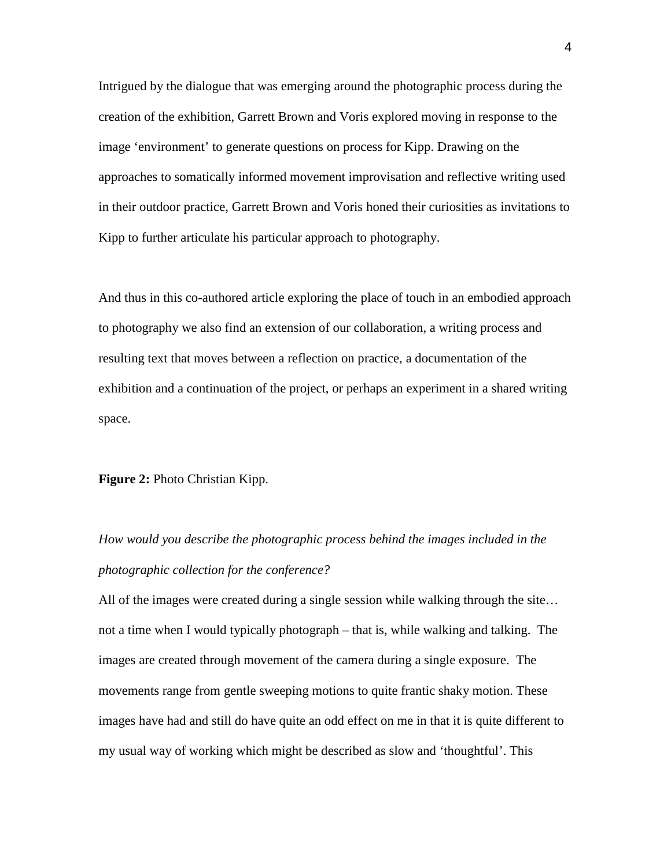Intrigued by the dialogue that was emerging around the photographic process during the creation of the exhibition, Garrett Brown and Voris explored moving in response to the image 'environment' to generate questions on process for Kipp. Drawing on the approaches to somatically informed movement improvisation and reflective writing used in their outdoor practice, Garrett Brown and Voris honed their curiosities as invitations to Kipp to further articulate his particular approach to photography.

And thus in this co-authored article exploring the place of touch in an embodied approach to photography we also find an extension of our collaboration, a writing process and resulting text that moves between a reflection on practice, a documentation of the exhibition and a continuation of the project, or perhaps an experiment in a shared writing space.

#### **Figure 2:** Photo Christian Kipp.

# *How would you describe the photographic process behind the images included in the photographic collection for the conference?*

All of the images were created during a single session while walking through the site… not a time when I would typically photograph – that is, while walking and talking. The images are created through movement of the camera during a single exposure. The movements range from gentle sweeping motions to quite frantic shaky motion. These images have had and still do have quite an odd effect on me in that it is quite different to my usual way of working which might be described as slow and 'thoughtful'. This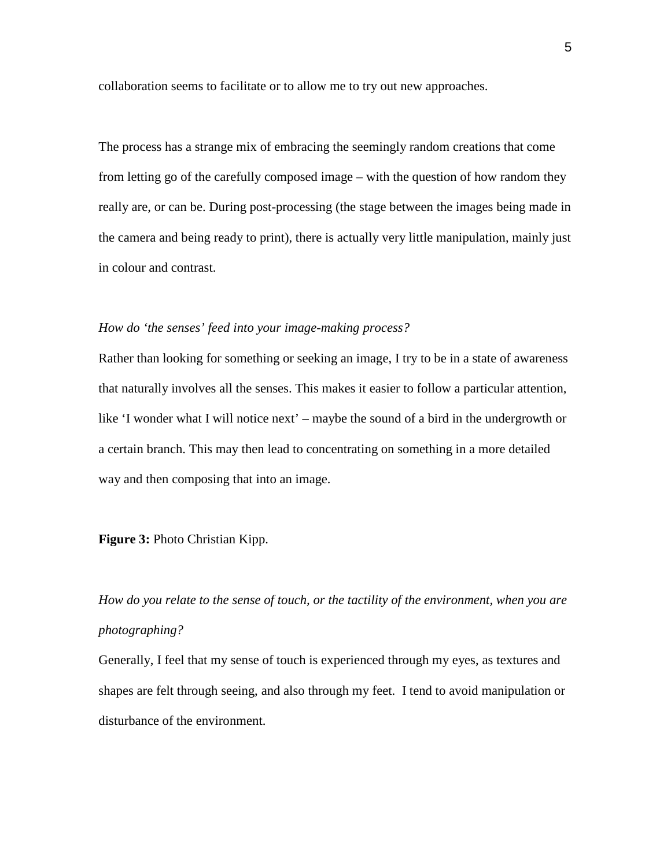collaboration seems to facilitate or to allow me to try out new approaches.

The process has a strange mix of embracing the seemingly random creations that come from letting go of the carefully composed image – with the question of how random they really are, or can be. During post-processing (the stage between the images being made in the camera and being ready to print), there is actually very little manipulation, mainly just in colour and contrast.

#### *How do 'the senses' feed into your image-making process?*

Rather than looking for something or seeking an image, I try to be in a state of awareness that naturally involves all the senses. This makes it easier to follow a particular attention, like 'I wonder what I will notice next' – maybe the sound of a bird in the undergrowth or a certain branch. This may then lead to concentrating on something in a more detailed way and then composing that into an image.

#### **Figure 3:** Photo Christian Kipp.

*How do you relate to the sense of touch, or the tactility of the environment, when you are photographing?*

Generally, I feel that my sense of touch is experienced through my eyes, as textures and shapes are felt through seeing, and also through my feet. I tend to avoid manipulation or disturbance of the environment.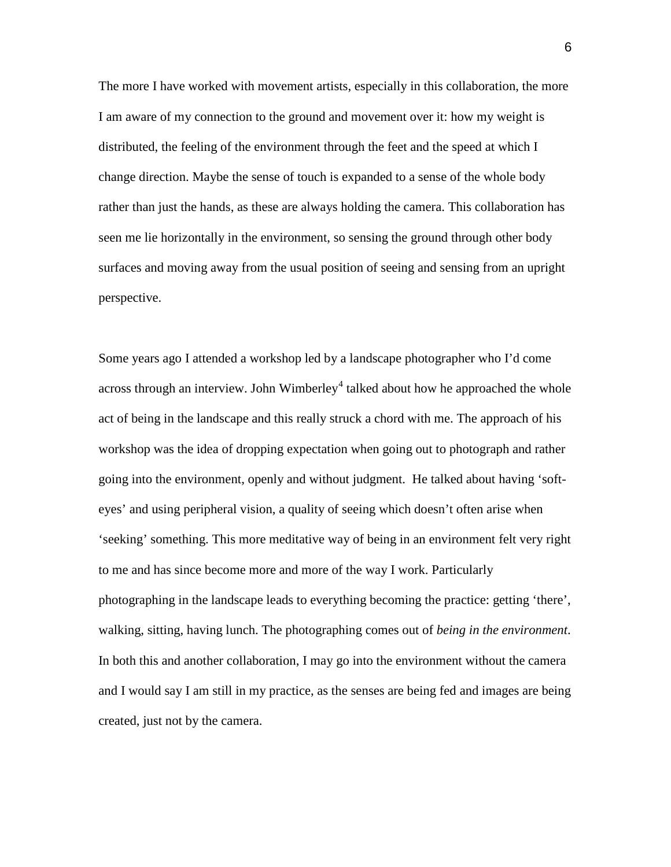The more I have worked with movement artists, especially in this collaboration, the more I am aware of my connection to the ground and movement over it: how my weight is distributed, the feeling of the environment through the feet and the speed at which I change direction. Maybe the sense of touch is expanded to a sense of the whole body rather than just the hands, as these are always holding the camera. This collaboration has seen me lie horizontally in the environment, so sensing the ground through other body surfaces and moving away from the usual position of seeing and sensing from an upright perspective.

Some years ago I attended a workshop led by a landscape photographer who I'd come across through an interview. John Wimberley<sup>[4](#page-13-1)</sup> talked about how he approached the whole act of being in the landscape and this really struck a chord with me. The approach of his workshop was the idea of dropping expectation when going out to photograph and rather going into the environment, openly and without judgment. He talked about having 'softeyes' and using peripheral vision, a quality of seeing which doesn't often arise when 'seeking' something. This more meditative way of being in an environment felt very right to me and has since become more and more of the way I work. Particularly photographing in the landscape leads to everything becoming the practice: getting 'there', walking, sitting, having lunch. The photographing comes out of *being in the environment*. In both this and another collaboration, I may go into the environment without the camera and I would say I am still in my practice, as the senses are being fed and images are being created, just not by the camera.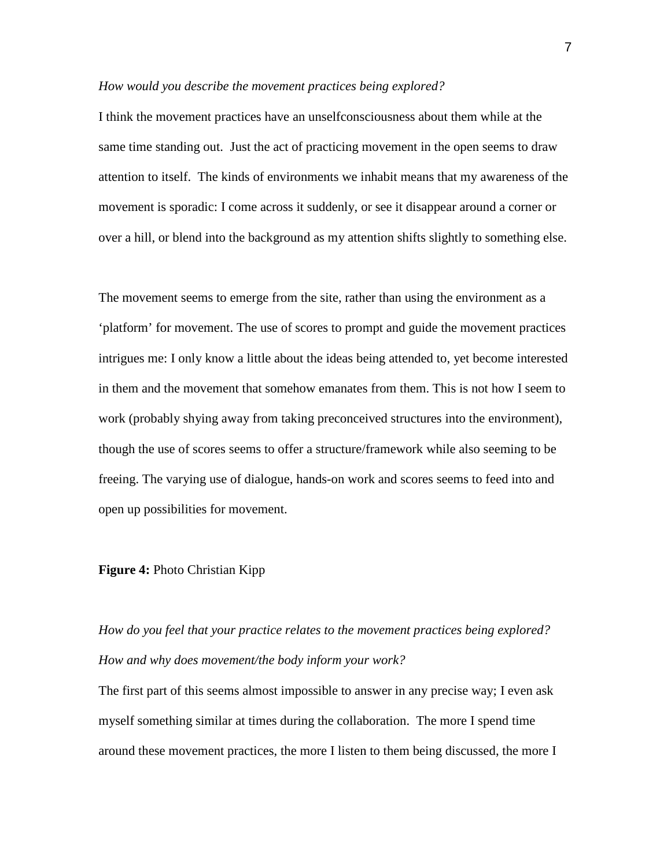#### *How would you describe the movement practices being explored?*

I think the movement practices have an unselfconsciousness about them while at the same time standing out. Just the act of practicing movement in the open seems to draw attention to itself. The kinds of environments we inhabit means that my awareness of the movement is sporadic: I come across it suddenly, or see it disappear around a corner or over a hill, or blend into the background as my attention shifts slightly to something else.

The movement seems to emerge from the site, rather than using the environment as a 'platform' for movement. The use of scores to prompt and guide the movement practices intrigues me: I only know a little about the ideas being attended to, yet become interested in them and the movement that somehow emanates from them. This is not how I seem to work (probably shying away from taking preconceived structures into the environment), though the use of scores seems to offer a structure/framework while also seeming to be freeing. The varying use of dialogue, hands-on work and scores seems to feed into and open up possibilities for movement.

#### **Figure 4:** Photo Christian Kipp

## *How do you feel that your practice relates to the movement practices being explored? How and why does movement/the body inform your work?*

The first part of this seems almost impossible to answer in any precise way; I even ask myself something similar at times during the collaboration. The more I spend time around these movement practices, the more I listen to them being discussed, the more I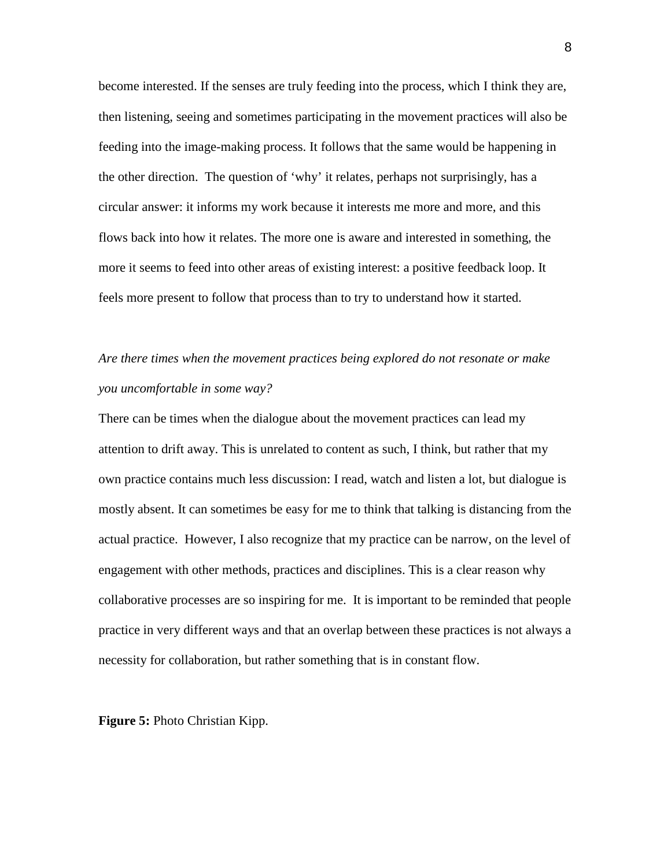become interested. If the senses are truly feeding into the process, which I think they are, then listening, seeing and sometimes participating in the movement practices will also be feeding into the image-making process. It follows that the same would be happening in the other direction. The question of 'why' it relates, perhaps not surprisingly, has a circular answer: it informs my work because it interests me more and more, and this flows back into how it relates. The more one is aware and interested in something, the more it seems to feed into other areas of existing interest: a positive feedback loop. It feels more present to follow that process than to try to understand how it started.

## *Are there times when the movement practices being explored do not resonate or make you uncomfortable in some way?*

There can be times when the dialogue about the movement practices can lead my attention to drift away. This is unrelated to content as such, I think, but rather that my own practice contains much less discussion: I read, watch and listen a lot, but dialogue is mostly absent. It can sometimes be easy for me to think that talking is distancing from the actual practice. However, I also recognize that my practice can be narrow, on the level of engagement with other methods, practices and disciplines. This is a clear reason why collaborative processes are so inspiring for me. It is important to be reminded that people practice in very different ways and that an overlap between these practices is not always a necessity for collaboration, but rather something that is in constant flow.

**Figure 5:** Photo Christian Kipp.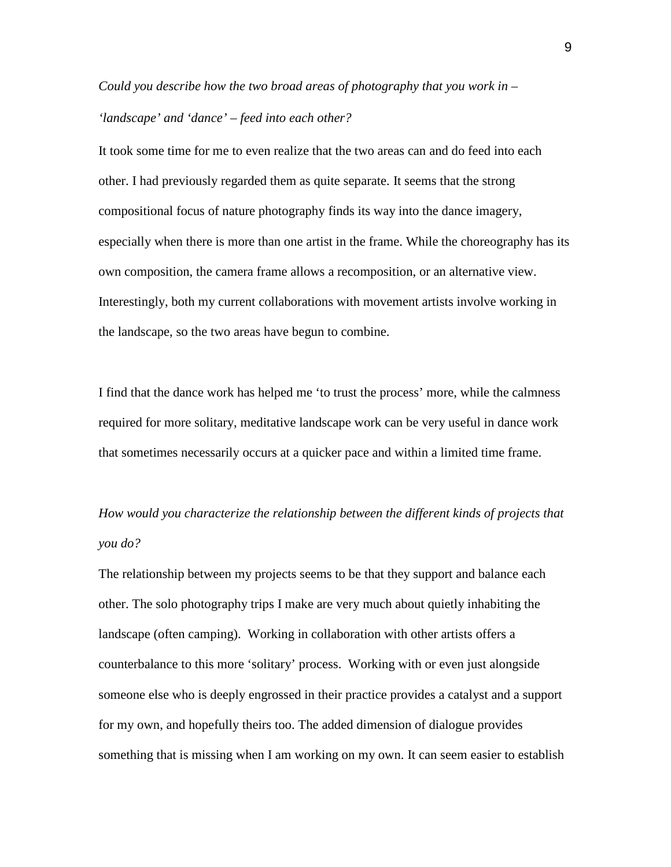# *Could you describe how the two broad areas of photography that you work in – 'landscape' and 'dance' – feed into each other?*

It took some time for me to even realize that the two areas can and do feed into each other. I had previously regarded them as quite separate. It seems that the strong compositional focus of nature photography finds its way into the dance imagery, especially when there is more than one artist in the frame. While the choreography has its own composition, the camera frame allows a recomposition, or an alternative view. Interestingly, both my current collaborations with movement artists involve working in the landscape, so the two areas have begun to combine.

I find that the dance work has helped me 'to trust the process' more, while the calmness required for more solitary, meditative landscape work can be very useful in dance work that sometimes necessarily occurs at a quicker pace and within a limited time frame.

# *How would you characterize the relationship between the different kinds of projects that you do?*

The relationship between my projects seems to be that they support and balance each other. The solo photography trips I make are very much about quietly inhabiting the landscape (often camping). Working in collaboration with other artists offers a counterbalance to this more 'solitary' process. Working with or even just alongside someone else who is deeply engrossed in their practice provides a catalyst and a support for my own, and hopefully theirs too. The added dimension of dialogue provides something that is missing when I am working on my own. It can seem easier to establish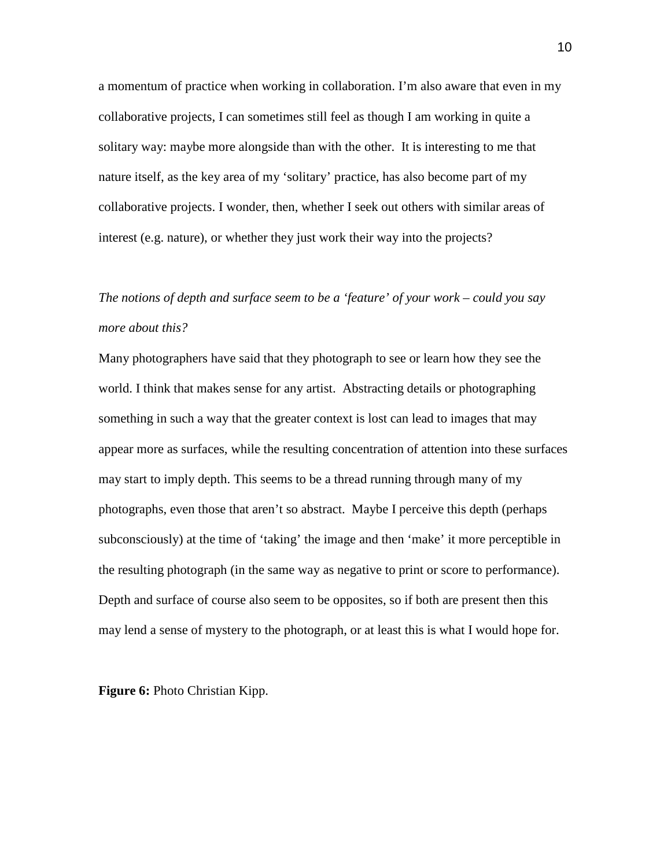a momentum of practice when working in collaboration. I'm also aware that even in my collaborative projects, I can sometimes still feel as though I am working in quite a solitary way: maybe more alongside than with the other. It is interesting to me that nature itself, as the key area of my 'solitary' practice, has also become part of my collaborative projects. I wonder, then, whether I seek out others with similar areas of interest (e.g. nature), or whether they just work their way into the projects?

# *The notions of depth and surface seem to be a 'feature' of your work – could you say more about this?*

Many photographers have said that they photograph to see or learn how they see the world. I think that makes sense for any artist. Abstracting details or photographing something in such a way that the greater context is lost can lead to images that may appear more as surfaces, while the resulting concentration of attention into these surfaces may start to imply depth. This seems to be a thread running through many of my photographs, even those that aren't so abstract. Maybe I perceive this depth (perhaps subconsciously) at the time of 'taking' the image and then 'make' it more perceptible in the resulting photograph (in the same way as negative to print or score to performance). Depth and surface of course also seem to be opposites, so if both are present then this may lend a sense of mystery to the photograph, or at least this is what I would hope for.

**Figure 6:** Photo Christian Kipp.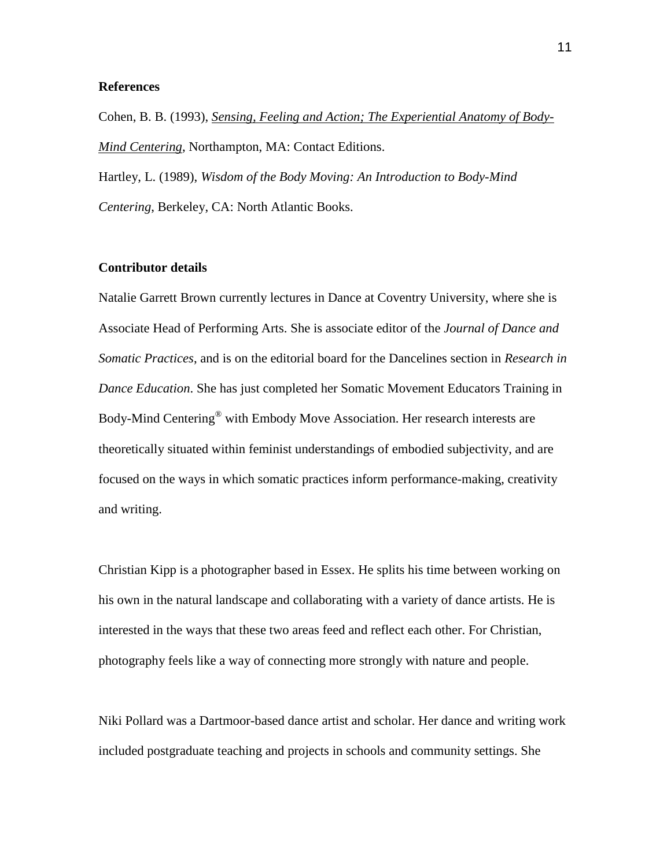#### **References**

Cohen, B. B. (1993), *Sensing, Feeling and Action; The Experiential Anatomy of Body-Mind Centering*, Northampton, MA: Contact Editions.

Hartley, L. (1989), *Wisdom of the Body Moving: An Introduction to Body-Mind Centering*, Berkeley, CA: North Atlantic Books.

#### **Contributor details**

Natalie Garrett Brown currently lectures in Dance at Coventry University, where she is Associate Head of Performing Arts. She is associate editor of the *Journal of Dance and Somatic Practices*, and is on the editorial board for the Dancelines section in *Research in Dance Education*. She has just completed her Somatic Movement Educators Training in Body-Mind Centering® with Embody Move Association. Her research interests are theoretically situated within feminist understandings of embodied subjectivity, and are focused on the ways in which somatic practices inform performance-making, creativity and writing.

Christian Kipp is a photographer based in Essex. He splits his time between working on his own in the natural landscape and collaborating with a variety of dance artists. He is interested in the ways that these two areas feed and reflect each other. For Christian, photography feels like a way of connecting more strongly with nature and people.

Niki Pollard was a Dartmoor-based dance artist and scholar. Her dance and writing work included postgraduate teaching and projects in schools and community settings. She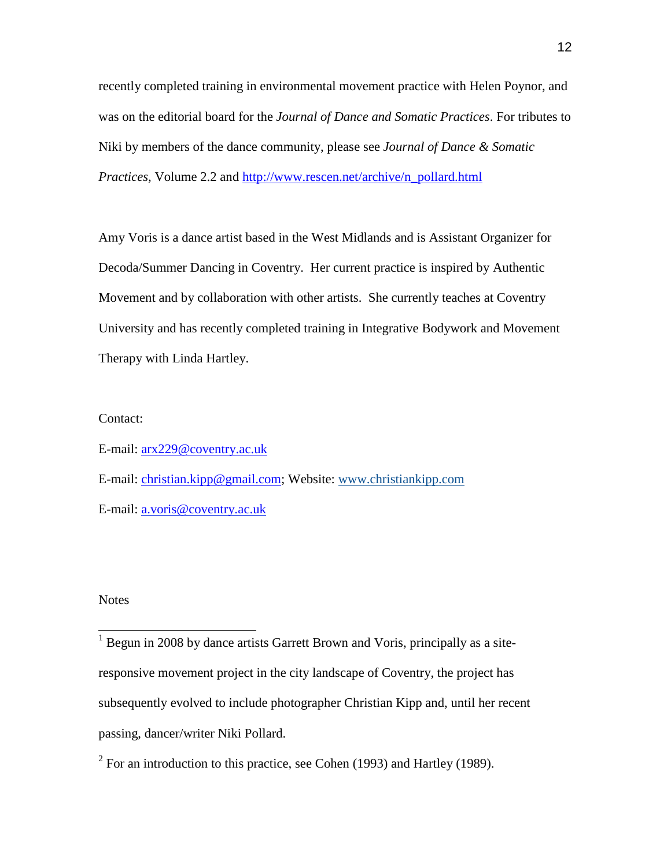recently completed training in environmental movement practice with Helen Poynor, and was on the editorial board for the *Journal of Dance and Somatic Practices*. For tributes to Niki by members of the dance community, please see *Journal of Dance & Somatic Practices,* Volume 2.2 and [http://www.rescen.net/archive/n\\_pollard.html](http://www.rescen.net/archive/n_pollard.html)

Amy Voris is a dance artist based in the West Midlands and is Assistant Organizer for Decoda/Summer Dancing in Coventry. Her current practice is inspired by Authentic Movement and by collaboration with other artists. She currently teaches at Coventry University and has recently completed training in Integrative Bodywork and Movement Therapy with Linda Hartley.

#### Contact:

E-mail: [arx229@coventry.ac.uk](mailto:arx229@coventry.ac.uk) E-mail: [christian.kipp@gmail.com;](mailto:christian.kipp@gmail.com) Website: [www.christiankipp.com](https://webmail.coventry.ac.uk/owa/redir.aspx?C=df624c224ce747e4b557bfed07b510dd&URL=http%3a%2f%2fwww.christiankipp.com%2f) E-mail: [a.voris@coventry.ac.uk](mailto:a.voris@coventry.ac.uk)

#### **Notes**

<span id="page-12-0"></span> $<sup>1</sup>$  Begun in 2008 by dance artists Garrett Brown and Voris, principally as a site-</sup> responsive movement project in the city landscape of Coventry, the project has subsequently evolved to include photographer Christian Kipp and, until her recent passing, dancer/writer Niki Pollard.

<span id="page-12-1"></span> $2$  For an introduction to this practice, see Cohen (1993) and Hartley (1989).